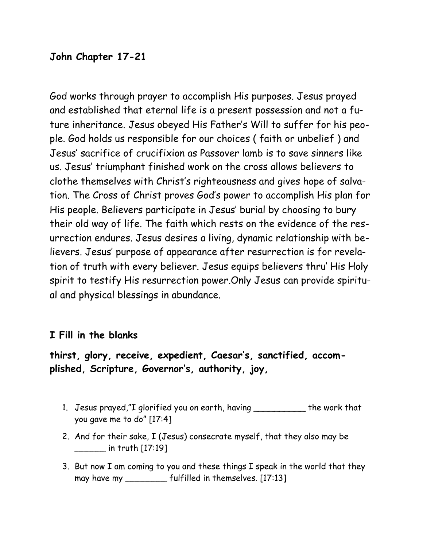# **John Chapter 17-21**

God works through prayer to accomplish His purposes. Jesus prayed and established that eternal life is a present possession and not a future inheritance. Jesus obeyed His Father's Will to suffer for his people. God holds us responsible for our choices ( faith or unbelief ) and Jesus' sacrifice of crucifixion as Passover lamb is to save sinners like us. Jesus' triumphant finished work on the cross allows believers to clothe themselves with Christ's righteousness and gives hope of salvation. The Cross of Christ proves God's power to accomplish His plan for His people. Believers participate in Jesus' burial by choosing to bury their old way of life. The faith which rests on the evidence of the resurrection endures. Jesus desires a living, dynamic relationship with believers. Jesus' purpose of appearance after resurrection is for revelation of truth with every believer. Jesus equips believers thru' His Holy spirit to testify His resurrection power.Only Jesus can provide spiritual and physical blessings in abundance.

## **I Fill in the blanks**

# **thirst, glory, receive, expedient, Caesar's, sanctified, accomplished, Scripture, Governor's, authority, joy,**

- 1. Jesus prayed,"I glorified you on earth, having \_\_\_\_\_\_\_\_\_\_ the work that you gave me to do" [17:4]
- 2. And for their sake, I (Jesus) consecrate myself, that they also may be \_\_\_\_\_\_ in truth [17:19]
- 3. But now I am coming to you and these things I speak in the world that they may have my \_\_\_\_\_\_\_\_ fulfilled in themselves. [17:13]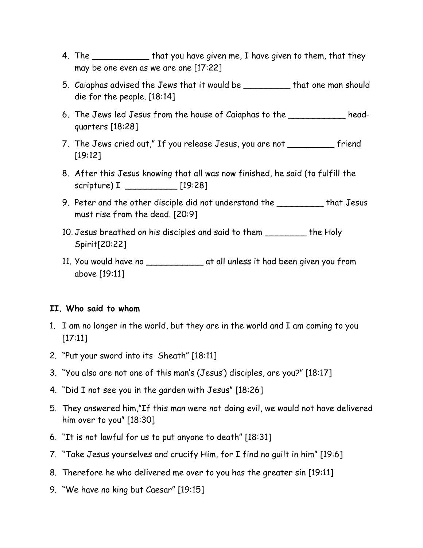- 4. The \_\_\_\_\_\_\_\_\_\_\_\_\_\_ that you have given me, I have given to them, that they may be one even as we are one [17:22]
- 5. Caiaphas advised the Jews that it would be \_\_\_\_\_\_\_\_\_ that one man should die for the people. [18:14]
- 6. The Jews led Jesus from the house of Caiaphas to the \_\_\_\_\_\_\_\_\_\_\_ headquarters [18:28]
- 7. The Jews cried out," If you release Jesus, you are not \_\_\_\_\_\_\_\_\_ friend [19:12]
- 8. After this Jesus knowing that all was now finished, he said (to fulfill the scripture) I \_\_\_\_\_\_\_\_\_\_ [19:28]
- 9. Peter and the other disciple did not understand the \_\_\_\_\_\_\_\_\_ that Jesus must rise from the dead. [20:9]
- 10. Jesus breathed on his disciples and said to them \_\_\_\_\_\_\_\_ the Holy Spirit[20:22]
- 11. You would have no \_\_\_\_\_\_\_\_\_\_\_ at all unless it had been given you from above [19:11]

#### **II. Who said to whom**

- 1. I am no longer in the world, but they are in the world and I am coming to you [17:11]
- 2. "Put your sword into its Sheath" [18:11]
- 3. "You also are not one of this man's (Jesus') disciples, are you?" [18:17]
- 4. "Did I not see you in the garden with Jesus" [18:26]
- 5. They answered him,"If this man were not doing evil, we would not have delivered him over to you" [18:30]
- 6. "It is not lawful for us to put anyone to death" [18:31]
- 7. "Take Jesus yourselves and crucify Him, for I find no guilt in him" [19:6]
- 8. Therefore he who delivered me over to you has the greater sin [19:11]
- 9. "We have no king but Caesar" [19:15]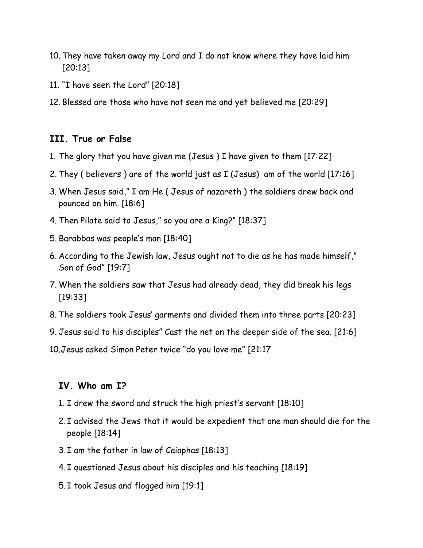- 10. They have taken away my Lord and I do not know where they have laid him [20:13]
- 11. "I have seen the Lord" [20:18]
- 12. Blessed are those who have not seen me and yet believed me [20:29]

### **III. True or False**

- 1. The glory that you have given me (Jesus ) I have given to them [17:22]
- 2. They ( believers ) are of the world just as I (Jesus) am of the world [17:16]
- 3. When Jesus said," I am He ( Jesus of nazareth ) the soldiers drew back and pounced on him. [18:6]
- 4. Then Pilate said to Jesus," so you are a King?" [18:37]
- 5. Barabbas was people's man [18:40]
- 6. According to the Jewish law, Jesus ought not to die as he has made himself," Son of God" [19:7]
- 7. When the soldiers saw that Jesus had already dead, they did break his legs [19:33]
- 8. The soldiers took Jesus' garments and divided them into three parts [20:23]
- 9. Jesus said to his disciples" Cast the net on the deeper side of the sea. [21:6]
- 10.Jesus asked Simon Peter twice "do you love me" [21:17

### **IV. Who am I?**

- 1. I drew the sword and struck the high priest's servant [18:10]
- 2. I advised the Jews that it would be expedient that one man should die for the people [18:14]
- 3. I am the father in law of Caiaphas [18:13]
- 4. I questioned Jesus about his disciples and his teaching [18:19]
- 5. I took Jesus and flogged him [19:1]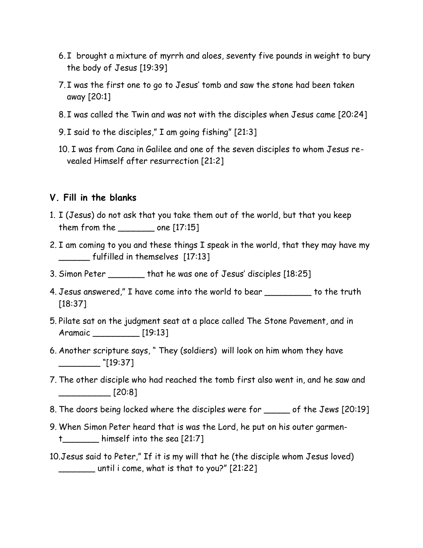- 6. I brought a mixture of myrrh and aloes, seventy five pounds in weight to bury the body of Jesus [19:39]
- 7. I was the first one to go to Jesus' tomb and saw the stone had been taken away [20:1]
- 8. I was called the Twin and was not with the disciples when Jesus came [20:24]
- 9. I said to the disciples," I am going fishing" [21:3]
- 10. I was from Cana in Galilee and one of the seven disciples to whom Jesus revealed Himself after resurrection [21:2]

### **V. Fill in the blanks**

- 1. I (Jesus) do not ask that you take them out of the world, but that you keep them from the \_\_\_\_\_\_\_ one [17:15]
- 2. I am coming to you and these things I speak in the world, that they may have my \_\_\_\_\_\_ fulfilled in themselves [17:13]
- 3. Simon Peter \_\_\_\_\_\_\_ that he was one of Jesus' disciples [18:25]
- 4. Jesus answered," I have come into the world to bear \_\_\_\_\_\_\_\_\_ to the truth [18:37]
- 5. Pilate sat on the judgment seat at a place called The Stone Pavement, and in Aramaic \_\_\_\_\_\_\_\_\_ [19:13]
- 6. Another scripture says, " They (soldiers) will look on him whom they have  $\frac{1}{2}$  [19:37]
- 7. The other disciple who had reached the tomb first also went in, and he saw and  $\sim$  [20:8]
- 8. The doors being locked where the disciples were for \_\_\_\_\_ of the Jews [20:19]
- 9. When Simon Peter heard that is was the Lord, he put on his outer garment\_\_\_\_\_\_\_ himself into the sea [21:7]
- 10.Jesus said to Peter," If it is my will that he (the disciple whom Jesus loved)  $\frac{1}{2}$  until i come, what is that to you?" [21:22]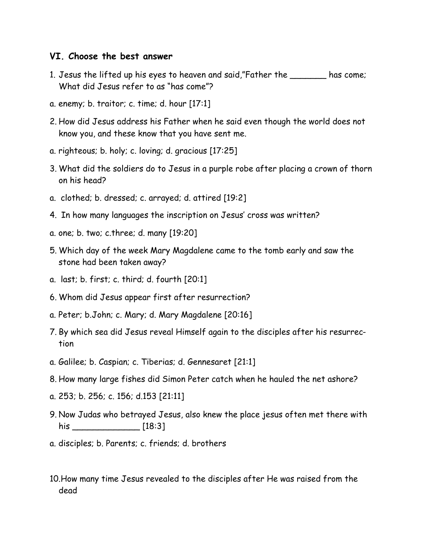#### **VI. Choose the best answer**

- 1. Jesus the lifted up his eyes to heaven and said,"Father the \_\_\_\_\_\_\_ has come; What did Jesus refer to as "has come"?
- a. enemy; b. traitor; c. time; d. hour [17:1]
- 2. How did Jesus address his Father when he said even though the world does not know you, and these know that you have sent me.
- a. righteous; b. holy; c. loving; d. gracious [17:25]
- 3. What did the soldiers do to Jesus in a purple robe after placing a crown of thorn on his head?
- a. clothed; b. dressed; c. arrayed; d. attired [19:2]
- 4. In how many languages the inscription on Jesus' cross was written?
- a. one; b. two; c.three; d. many [19:20]
- 5. Which day of the week Mary Magdalene came to the tomb early and saw the stone had been taken away?
- a. last; b. first; c. third; d. fourth [20:1]
- 6. Whom did Jesus appear first after resurrection?
- a. Peter; b.John; c. Mary; d. Mary Magdalene [20:16]
- 7. By which sea did Jesus reveal Himself again to the disciples after his resurrection
- a. Galilee; b. Caspian; c. Tiberias; d. Gennesaret [21:1]
- 8. How many large fishes did Simon Peter catch when he hauled the net ashore?
- a. 253; b. 256; c. 156; d.153 [21:11]
- 9. Now Judas who betrayed Jesus, also knew the place jesus often met there with his \_\_\_\_\_\_\_\_\_\_\_\_\_ [18:3]
- a. disciples; b. Parents; c. friends; d. brothers
- 10.How many time Jesus revealed to the disciples after He was raised from the dead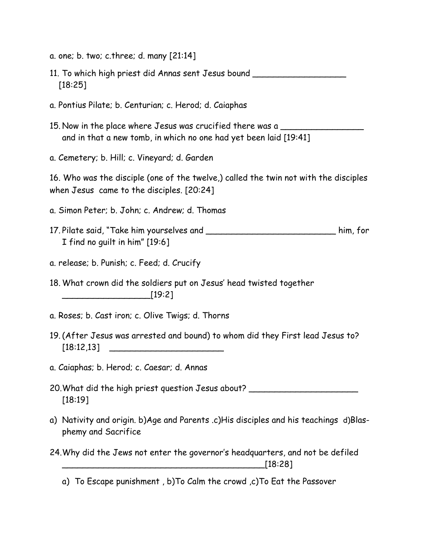- a. one; b. two; c.three; d. many [21:14]
- 11. To which high priest did Annas sent Jesus bound \_\_\_\_\_\_\_\_\_\_\_\_\_\_\_\_\_\_ [18:25]
- a. Pontius Pilate; b. Centurian; c. Herod; d. Caiaphas
- 15. Now in the place where Jesus was crucified there was a \_\_\_\_\_\_\_\_\_\_\_\_\_\_\_\_ and in that a new tomb, in which no one had yet been laid [19:41]
- a. Cemetery; b. Hill; c. Vineyard; d. Garden

16. Who was the disciple (one of the twelve,) called the twin not with the disciples when Jesus came to the disciples. [20:24]

- a. Simon Peter; b. John; c. Andrew; d. Thomas
- 17. Pilate said, "Take him yourselves and \_\_\_\_\_\_\_\_\_\_\_\_\_\_\_\_\_\_\_\_\_\_\_\_\_ him, for I find no guilt in him" [19:6]
- a. release; b. Punish; c. Feed; d. Crucify
- 18. What crown did the soldiers put on Jesus' head twisted together  $[19:2]$
- a. Roses; b. Cast iron; c. Olive Twigs; d. Thorns
- 19. (After Jesus was arrested and bound) to whom did they First lead Jesus to? [18:12,13] \_\_\_\_\_\_\_\_\_\_\_\_\_\_\_\_\_\_\_\_\_\_
- a. Caiaphas; b. Herod; c. Caesar; d. Annas
- 20. What did the high priest question Jesus about? [18:19]
- a) Nativity and origin. b)Age and Parents .c)His disciples and his teachings d)Blasphemy and Sacrifice
- 24.Why did the Jews not enter the governor's headquarters, and not be defiled \_\_\_\_\_\_\_\_\_\_\_\_\_\_\_\_\_\_\_\_\_\_\_\_\_\_\_\_\_\_\_\_\_\_\_\_\_\_\_[18:28]

a) To Escape punishment , b)To Calm the crowd ,c)To Eat the Passover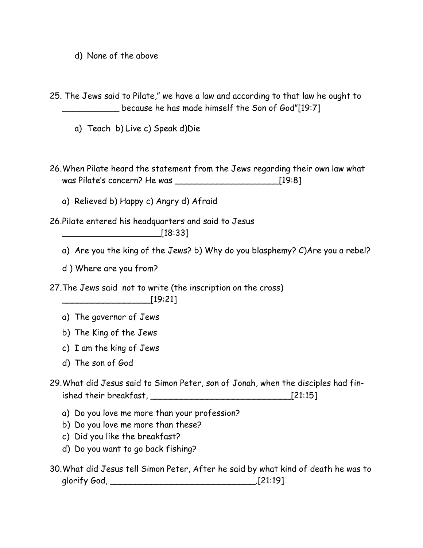d) None of the above

25. The Jews said to Pilate," we have a law and according to that law he ought to \_\_\_\_\_\_\_\_\_\_\_ because he has made himself the Son of God"[19:7]

- a) Teach b) Live c) Speak d)Die
- 26.When Pilate heard the statement from the Jews regarding their own law what was Pilate's concern? He was \_\_\_\_\_\_\_\_\_\_\_\_\_\_\_\_\_\_\_\_[19:8]
	- a) Relieved b) Happy c) Angry d) Afraid

26.Pilate entered his headquarters and said to Jesus

\_\_\_\_\_\_\_\_\_\_\_\_\_\_\_\_\_\_\_[18:33]

- a) Are you the king of the Jews? b) Why do you blasphemy? C)Are you a rebel?
- d ) Where are you from?

27.The Jews said not to write (the inscription on the cross) \_\_\_\_\_\_\_\_\_\_\_\_\_\_\_\_\_[19:21]

- a) The governor of Jews
- b) The King of the Jews
- c) I am the king of Jews
- d) The son of God
- 29.What did Jesus said to Simon Peter, son of Jonah, when the disciples had finished their breakfast, \_\_\_\_\_\_\_\_\_\_\_\_\_\_\_\_\_\_\_\_\_\_\_\_\_\_\_[21:15]
	- a) Do you love me more than your profession?
	- b) Do you love me more than these?
	- c) Did you like the breakfast?
	- d) Do you want to go back fishing?
- 30.What did Jesus tell Simon Peter, After he said by what kind of death he was to glorify God, \_\_\_\_\_\_\_\_\_\_\_\_\_\_\_\_\_\_\_\_\_\_\_\_\_\_\_\_.[21:19]